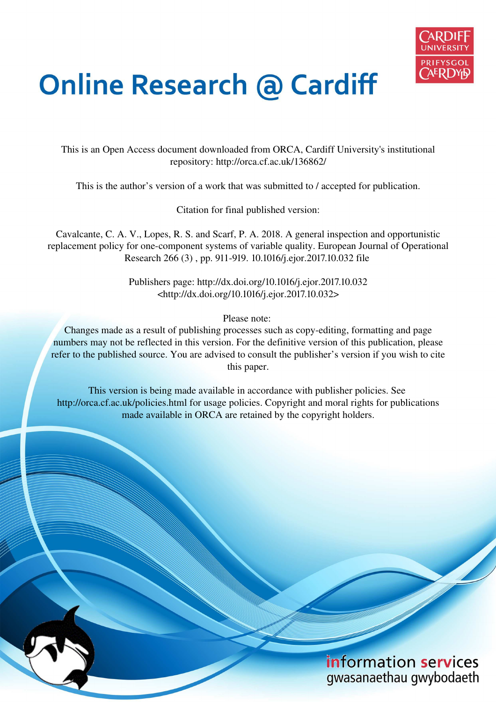

# **Online Research @ Cardiff**

This is an Open Access document downloaded from ORCA, Cardiff University's institutional repository: http://orca.cf.ac.uk/136862/

This is the author's version of a work that was submitted to / accepted for publication.

Citation for final published version:

Cavalcante, C. A. V., Lopes, R. S. and Scarf, P. A. 2018. A general inspection and opportunistic replacement policy for one-component systems of variable quality. European Journal of Operational Research 266 (3) , pp. 911-919. 10.1016/j.ejor.2017.10.032 file

> Publishers page: http://dx.doi.org/10.1016/j.ejor.2017.10.032 <http://dx.doi.org/10.1016/j.ejor.2017.10.032>

> > Please note:

Changes made as a result of publishing processes such as copy-editing, formatting and page numbers may not be reflected in this version. For the definitive version of this publication, please refer to the published source. You are advised to consult the publisher's version if you wish to cite this paper.

This version is being made available in accordance with publisher policies. See http://orca.cf.ac.uk/policies.html for usage policies. Copyright and moral rights for publications made available in ORCA are retained by the copyright holders.

> information services gwasanaethau gwybodaeth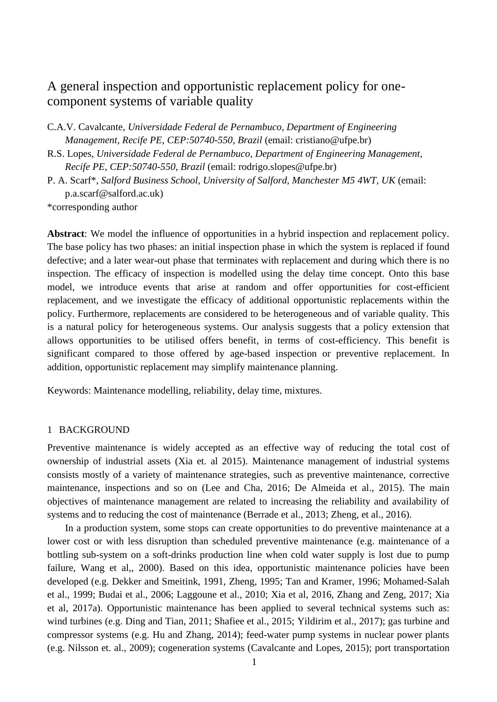# A general inspection and opportunistic replacement policy for onecomponent systems of variable quality

- C.A.V. Cavalcante, *Universidade Federal de Pernambuco, Department of Engineering Management, Recife PE, CEP:50740-550*, *Brazil* (email: cristiano@ufpe.br)
- R.S. Lopes, *Universidade Federal de Pernambuco, Department of Engineering Management, Recife PE, CEP:50740-550*, *Brazil* (email: [rodrigo.slopes@ufpe.br\)](mailto:rodrigo.slopes@ufpe.br)
- P. A. Scarf\*, *Salford Business School, University of Salford, Manchester M5 4WT, UK* (email: p.a.scar[f@salford.ac.uk\)](mailto:@salford.ac.uk)

\*corresponding author

**Abstract**: We model the influence of opportunities in a hybrid inspection and replacement policy. The base policy has two phases: an initial inspection phase in which the system is replaced if found defective; and a later wear-out phase that terminates with replacement and during which there is no inspection. The efficacy of inspection is modelled using the delay time concept. Onto this base model, we introduce events that arise at random and offer opportunities for cost-efficient replacement, and we investigate the efficacy of additional opportunistic replacements within the policy. Furthermore, replacements are considered to be heterogeneous and of variable quality. This is a natural policy for heterogeneous systems. Our analysis suggests that a policy extension that allows opportunities to be utilised offers benefit, in terms of cost-efficiency. This benefit is significant compared to those offered by age-based inspection or preventive replacement. In addition, opportunistic replacement may simplify maintenance planning.

Keywords: Maintenance modelling, reliability, delay time, mixtures.

#### 1 BACKGROUND

Preventive maintenance is widely accepted as an effective way of reducing the total cost of ownership of industrial assets (Xia et. al 2015). Maintenance management of industrial systems consists mostly of a variety of maintenance strategies, such as preventive maintenance, corrective maintenance, inspections and so on (Lee and Cha, 2016; De Almeida et al., 2015). The main objectives of maintenance management are related to increasing the reliability and availability of systems and to reducing the cost of maintenance (Berrade et al., 2013; Zheng, et al., 2016).

In a production system, some stops can create opportunities to do preventive maintenance at a lower cost or with less disruption than scheduled preventive maintenance (e.g. maintenance of a bottling sub-system on a soft-drinks production line when cold water supply is lost due to pump failure, Wang et al., 2000). Based on this idea, opportunistic maintenance policies have been developed (e.g. Dekker and Smeitink, 1991, Zheng, 1995; Tan and Kramer, 1996; Mohamed-Salah et al., 1999; Budai et al., 2006; Laggoune et al., 2010; Xia et al, 2016, Zhang and Zeng, 2017; Xia et al, 2017a). Opportunistic maintenance has been applied to several technical systems such as: wind turbines (e.g. Ding and Tian, 2011; Shafiee et al., 2015; Yildirim et al., 2017); gas turbine and compressor systems (e.g. Hu and Zhang, 2014); feed-water pump systems in nuclear power plants (e.g. Nilsson et. al., 2009); cogeneration systems (Cavalcante and Lopes, 2015); port transportation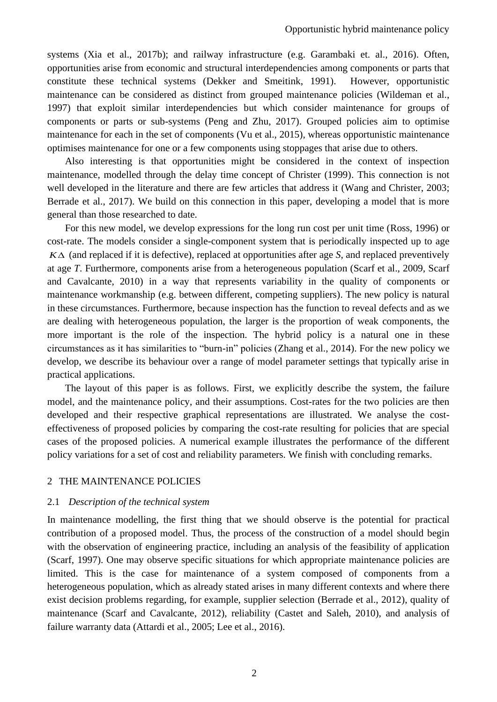systems (Xia et al., 2017b); and railway infrastructure (e.g. Garambaki et. al., 2016). Often, opportunities arise from economic and structural interdependencies among components or parts that constitute these technical systems (Dekker and Smeitink, 1991). However, opportunistic maintenance can be considered as distinct from grouped maintenance policies (Wildeman et al., 1997) that exploit similar interdependencies but which consider maintenance for groups of components or parts or sub-systems (Peng and Zhu, 2017). Grouped policies aim to optimise maintenance for each in the set of components (Vu et al., 2015), whereas opportunistic maintenance optimises maintenance for one or a few components using stoppages that arise due to others.

Also interesting is that opportunities might be considered in the context of inspection maintenance, modelled through the delay time concept of Christer (1999). This connection is not well developed in the literature and there are few articles that address it (Wang and Christer, 2003; Berrade et al., 2017). We build on this connection in this paper, developing a model that is more general than those researched to date.

For this new model, we develop expressions for the long run cost per unit time (Ross, 1996) or cost-rate. The models consider a single-component system that is periodically inspected up to age  $K\Delta$  (and replaced if it is defective), replaced at opportunities after age *S*, and replaced preventively at age *T*. Furthermore, components arise from a heterogeneous population (Scarf et al., 2009, Scarf and Cavalcante, 2010) in a way that represents variability in the quality of components or maintenance workmanship (e.g. between different, competing suppliers). The new policy is natural in these circumstances. Furthermore, because inspection has the function to reveal defects and as we are dealing with heterogeneous population, the larger is the proportion of weak components, the more important is the role of the inspection. The hybrid policy is a natural one in these circumstances as it has similarities to "burn-in" policies (Zhang et al., 2014). For the new policy we develop, we describe its behaviour over a range of model parameter settings that typically arise in practical applications.

The layout of this paper is as follows. First, we explicitly describe the system, the failure model, and the maintenance policy, and their assumptions. Cost-rates for the two policies are then developed and their respective graphical representations are illustrated. We analyse the costeffectiveness of proposed policies by comparing the cost-rate resulting for policies that are special cases of the proposed policies. A numerical example illustrates the performance of the different policy variations for a set of cost and reliability parameters. We finish with concluding remarks.

#### 2 THE MAINTENANCE POLICIES

#### 2.1 *Description of the technical system*

In maintenance modelling, the first thing that we should observe is the potential for practical contribution of a proposed model. Thus, the process of the construction of a model should begin with the observation of engineering practice, including an analysis of the feasibility of application (Scarf, 1997). One may observe specific situations for which appropriate maintenance policies are limited. This is the case for maintenance of a system composed of components from a heterogeneous population, which as already stated arises in many different contexts and where there exist decision problems regarding, for example, supplier selection (Berrade et al., 2012), quality of maintenance (Scarf and Cavalcante, 2012), reliability (Castet and Saleh, 2010), and analysis of failure warranty data (Attardi et al., 2005; Lee et al., 2016).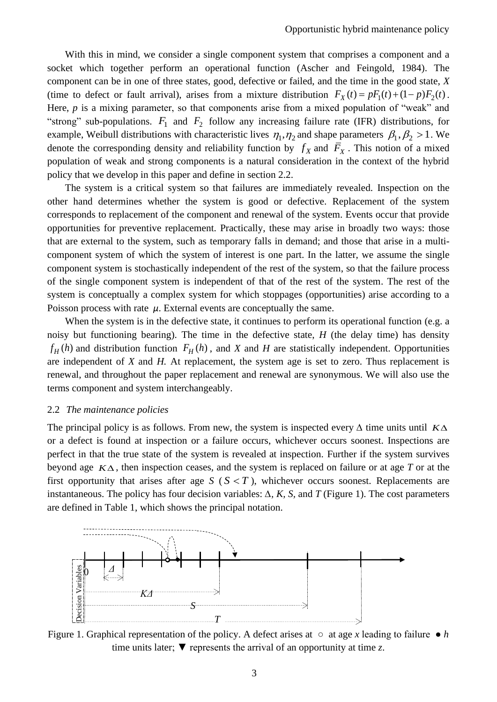With this in mind, we consider a single component system that comprises a component and a socket which together perform an operational function (Ascher and Feingold, 1984). The component can be in one of three states, good, defective or failed, and the time in the good state, *X* (time to defect or fault arrival), arises from a mixture distribution  $F_X(t) = pF_1(t) + (1 - p)F_2(t)$ . Here, *p* is a mixing parameter, so that components arise from a mixed population of "weak" and "strong" sub-populations.  $F_1$  and  $F_2$  follow any increasing failure rate (IFR) distributions, for example, Weibull distributions with characteristic lives  $\eta_1, \eta_2$  and shape parameters  $\beta_1, \beta_2 > 1$ . We denote the corresponding density and reliability function by  $f_X$  and  $\overline{F}_X$ . This notion of a mixed population of weak and strong components is a natural consideration in the context of the hybrid policy that we develop in this paper and define in section 2.2.

The system is a critical system so that failures are immediately revealed. Inspection on the other hand determines whether the system is good or defective. Replacement of the system corresponds to replacement of the component and renewal of the system. Events occur that provide opportunities for preventive replacement. Practically, these may arise in broadly two ways: those that are external to the system, such as temporary falls in demand; and those that arise in a multicomponent system of which the system of interest is one part. In the latter, we assume the single component system is stochastically independent of the rest of the system, so that the failure process of the single component system is independent of that of the rest of the system. The rest of the system is conceptually a complex system for which stoppages (opportunities) arise according to a Poisson process with rate  $\mu$ . External events are conceptually the same.

When the system is in the defective state, it continues to perform its operational function (e.g. a noisy but functioning bearing). The time in the defective state, *H* (the delay time) has density  $f_H(h)$  and distribution function  $F_H(h)$ , and *X* and *H* are statistically independent. Opportunities are independent of *X* and *H.* At replacement, the system age is set to zero. Thus replacement is renewal, and throughout the paper replacement and renewal are synonymous. We will also use the terms component and system interchangeably.

#### 2.2 *The maintenance policies*

The principal policy is as follows. From new, the system is inspected every *∆* time units until *K* or a defect is found at inspection or a failure occurs, whichever occurs soonest. Inspections are perfect in that the true state of the system is revealed at inspection. Further if the system survives beyond age  $K\Delta$ , then inspection ceases, and the system is replaced on failure or at age T or at the first opportunity that arises after age  $S(S \leq T)$ , whichever occurs soonest. Replacements are instantaneous. The policy has four decision variables:  $\Delta$ *, K, S,* and *T* (Figure 1). The cost parameters are defined in Table 1, which shows the principal notation.



Figure 1. Graphical representation of the policy. A defect arises at  $\circ$  at age *x* leading to failure  $\bullet$  *h* time units later;  $\blacktriangledown$  represents the arrival of an opportunity at time *z*.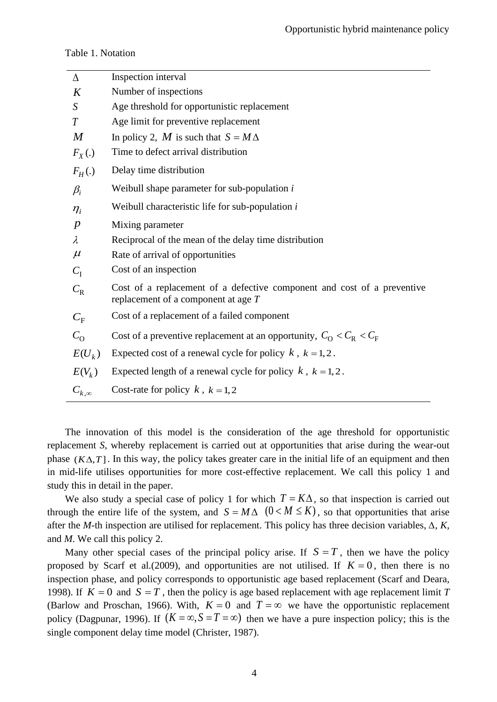#### Table 1. Notation

| $\Delta$         | Inspection interval                                                                                              |
|------------------|------------------------------------------------------------------------------------------------------------------|
| K                | Number of inspections                                                                                            |
| S                | Age threshold for opportunistic replacement                                                                      |
| T                | Age limit for preventive replacement                                                                             |
| $\boldsymbol{M}$ | In policy 2, M is such that $S = M\Delta$                                                                        |
| $F_X(.)$         | Time to defect arrival distribution                                                                              |
| $F_H(.)$         | Delay time distribution                                                                                          |
| $\beta_i$        | Weibull shape parameter for sub-population $i$                                                                   |
| $\eta_i$         | Weibull characteristic life for sub-population $i$                                                               |
| $\boldsymbol{p}$ | Mixing parameter                                                                                                 |
| $\lambda$        | Reciprocal of the mean of the delay time distribution                                                            |
| $\mu$            | Rate of arrival of opportunities                                                                                 |
| $C_{I}$          | Cost of an inspection                                                                                            |
| $C_{\rm R}$      | Cost of a replacement of a defective component and cost of a preventive<br>replacement of a component at age $T$ |
| $C_{\rm F}$      | Cost of a replacement of a failed component                                                                      |
| $C_{\Omega}$     | Cost of a preventive replacement at an opportunity, $C_{\rm O} < C_{\rm R} < C_{\rm F}$                          |
| $E(U_k)$         | Expected cost of a renewal cycle for policy $k$ , $k = 1, 2$ .                                                   |
| $E(V_k)$         | Expected length of a renewal cycle for policy $k$ , $k = 1, 2$ .                                                 |
| $C_{k,\infty}$   | Cost-rate for policy k, $k = 1, 2$                                                                               |

The innovation of this model is the consideration of the age threshold for opportunistic replacement *S*, whereby replacement is carried out at opportunities that arise during the wear-out phase  $(K\Delta, T)$ . In this way, the policy takes greater care in the initial life of an equipment and then in mid-life utilises opportunities for more cost-effective replacement. We call this policy 1 and study this in detail in the paper.

We also study a special case of policy 1 for which  $T = K\Delta$ , so that inspection is carried out through the entire life of the system, and  $S = M\Delta$  ( $0 < M \leq K$ ), so that opportunities that arise after the *M*-th inspection are utilised for replacement. This policy has three decision variables, *∆, K,*  and *M*. We call this policy 2.

Many other special cases of the principal policy arise. If  $S = T$ , then we have the policy proposed by Scarf et al.(2009), and opportunities are not utilised. If  $K = 0$ , then there is no inspection phase, and policy corresponds to opportunistic age based replacement (Scarf and Deara, 1998). If  $K = 0$  and  $S = T$ , then the policy is age based replacement with age replacement limit *T* (Barlow and Proschan, 1966). With,  $K = 0$  and  $T = \infty$  we have the opportunistic replacement policy (Dagpunar, 1996). If  $(K = \infty, S = T = \infty)$  then we have a pure inspection policy; this is the single component delay time model (Christer, 1987).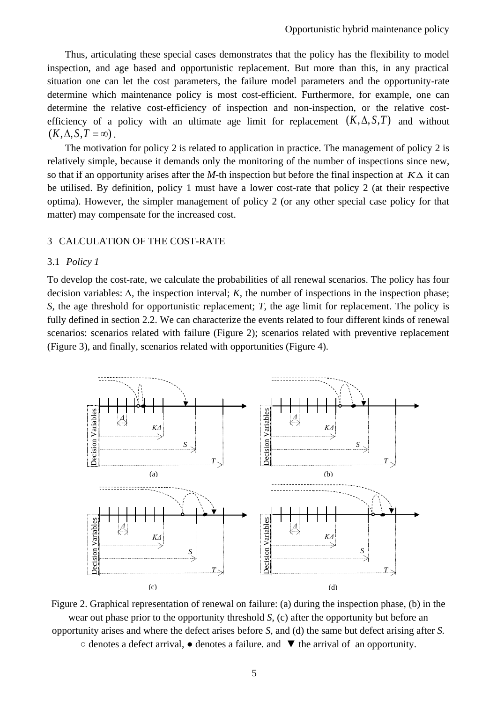Thus, articulating these special cases demonstrates that the policy has the flexibility to model inspection, and age based and opportunistic replacement. But more than this, in any practical situation one can let the cost parameters, the failure model parameters and the opportunity-rate determine which maintenance policy is most cost-efficient. Furthermore, for example, one can determine the relative cost-efficiency of inspection and non-inspection, or the relative costefficiency of a policy with an ultimate age limit for replacement  $(K, \Delta, S, T)$  and without  $(K, \Delta, S, T = \infty)$ .

The motivation for policy 2 is related to application in practice. The management of policy 2 is relatively simple, because it demands only the monitoring of the number of inspections since new, so that if an opportunity arises after the *M*-th inspection but before the final inspection at  $K\Delta$  it can be utilised. By definition, policy 1 must have a lower cost-rate that policy 2 (at their respective optima). However, the simpler management of policy 2 (or any other special case policy for that matter) may compensate for the increased cost.

#### 3 CALCULATION OF THE COST-RATE

#### 3.1 *Policy 1*

To develop the cost-rate, we calculate the probabilities of all renewal scenarios. The policy has four decision variables: *∆,* the inspection interval; *K,* the number of inspections in the inspection phase; *S*, the age threshold for opportunistic replacement; *T*, the age limit for replacement. The policy is fully defined in section 2.2. We can characterize the events related to four different kinds of renewal scenarios: scenarios related with failure (Figure 2); scenarios related with preventive replacement (Figure 3), and finally, scenarios related with opportunities (Figure 4).



Figure 2. Graphical representation of renewal on failure: (a) during the inspection phase, (b) in the wear out phase prior to the opportunity threshold *S*, (c) after the opportunity but before an opportunity arises and where the defect arises before *S*, and (d) the same but defect arising after *S.* 

○ denotes a defect arrival, ● denotes a failure. and ▼ the arrival of an opportunity.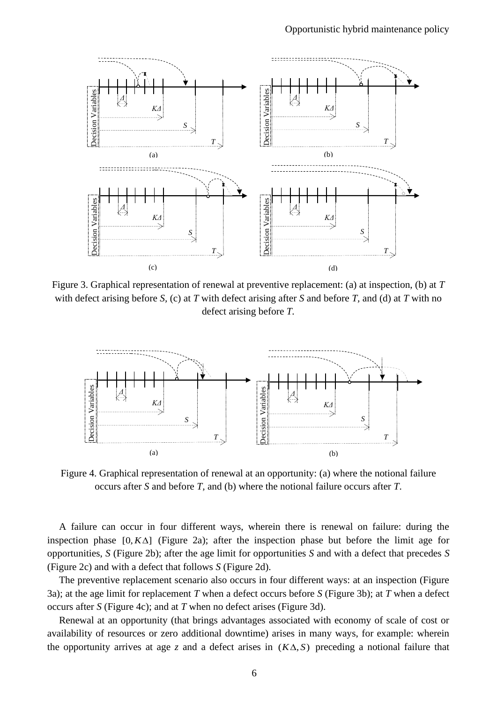

Figure 3. Graphical representation of renewal at preventive replacement: (a) at inspection, (b) at *T*  with defect arising before *S,* (c) at *T* with defect arising after *S* and before *T,* and (d) at *T* with no defect arising before *T.* 



Figure 4. Graphical representation of renewal at an opportunity: (a) where the notional failure occurs after *S* and before *T,* and (b) where the notional failure occurs after *T*.

A failure can occur in four different ways, wherein there is renewal on failure: during the inspection phase  $[0, K\Delta]$  (Figure 2a); after the inspection phase but before the limit age for opportunities, *S* (Figure 2b); after the age limit for opportunities *S* and with a defect that precedes *S*  (Figure 2c) and with a defect that follows *S* (Figure 2d).

The preventive replacement scenario also occurs in four different ways: at an inspection (Figure 3a); at the age limit for replacement *T* when a defect occurs before *S* (Figure 3b); at *T* when a defect occurs after *S* (Figure 4c); and at *T* when no defect arises (Figure 3d).

Renewal at an opportunity (that brings advantages associated with economy of scale of cost or availability of resources or zero additional downtime) arises in many ways, for example: wherein the opportunity arrives at age  $\zeta$  and a defect arises in  $(K\Delta, S)$  preceding a notional failure that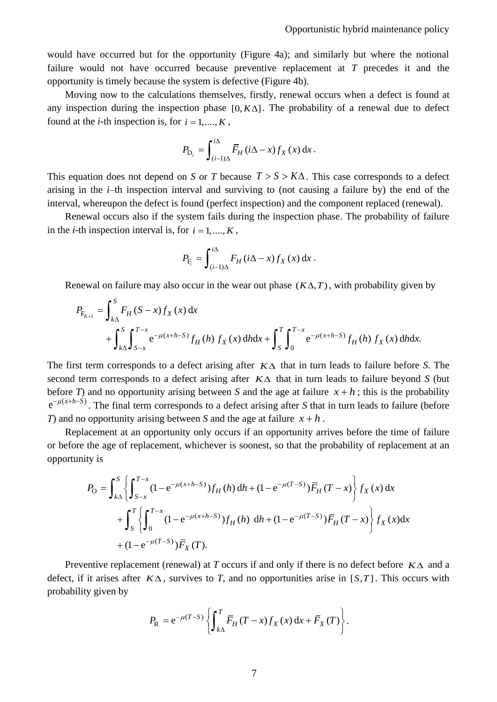would have occurred but for the opportunity (Figure 4a); and similarly but where the notional failure would not have occurred because preventive replacement at *T* precedes it and the opportunity is timely because the system is defective (Figure 4b).

Moving now to the calculations themselves, firstly, renewal occurs when a defect is found at any inspection during the inspection phase  $[0, K\Delta]$ . The probability of a renewal due to defect found at the *i*-th inspection is, for  $i = 1, ..., K$ ,

$$
P_{\mathrm{D}_i} = \int_{(i-1)\Delta}^{i\Delta} \overline{F}_H(i\Delta - x) f_X(x) \,\mathrm{d}x \,.
$$

This equation does not depend on *S* or *T* because  $T > S > K\Delta$ . This case corresponds to a defect arising in the *i–*th inspection interval and surviving to (not causing a failure by) the end of the interval, whereupon the defect is found (perfect inspection) and the component replaced (renewal).

Renewal occurs also if the system fails during the inspection phase. The probability of failure in the *i*-th inspection interval is, for  $i = 1, ..., K$ ,

$$
P_{\mathrm{F}_i} = \int_{(i-1)\Delta}^{i\Delta} F_H(i\Delta - x) f_X(x) \,\mathrm{d}x \,.
$$

Renewal on failure may also occur in the wear out phase  $(K\Delta, T)$ , with probability given by

$$
P_{F_{K+1}} = \int_{k\Delta}^{S} F_H(S-x) f_X(x) dx
$$
  
+ 
$$
\int_{k\Delta}^{S} \int_{S-x}^{T-x} e^{-\mu(x+h-S)} f_H(h) f_X(x) dh dx + \int_{S}^{T} \int_{0}^{T-x} e^{-\mu(x+h-S)} f_H(h) f_X(x) dh dx.
$$

The first term corresponds to a defect arising after  $K\Delta$  that in turn leads to failure before *S*. The second term corresponds to a defect arising after  $K\Delta$  that in turn leads to failure beyond *S* (but before *T*) and no opportunity arising between *S* and the age at failure  $x + h$ ; this is the probability  $e^{-\mu(x+h-S)}$ . The final term corresponds to a defect arising after *S* that in turn leads to failure (before *T*) and no opportunity arising between *S* and the age at failure  $x + h$ .

Replacement at an opportunity only occurs if an opportunity arrives before the time of failure or before the age of replacement, whichever is soonest, so that the probability of replacement at an opportunity is

$$
P_{\text{O}} = \int_{k\Delta}^{S} \left\{ \int_{S-x}^{T-x} (1 - e^{-\mu(x+h-S)}) f_{H}(h) \, \mathrm{d}h + (1 - e^{-\mu(T-S)}) \overline{F}_{H}(T-x) \right\} f_{X}(x) \, \mathrm{d}x + \int_{S}^{T} \left\{ \int_{0}^{T-x} (1 - e^{-\mu(x+h-S)}) f_{H}(h) \, \mathrm{d}h + (1 - e^{-\mu(T-S)}) \overline{F}_{H}(T-x) \right\} f_{X}(x) \, \mathrm{d}x + (1 - e^{-\mu(T-S)}) \overline{F}_{X}(T).
$$

Preventive replacement (renewal) at *T* occurs if and only if there is no defect before  $K\Delta$  and a defect, if it arises after  $K\Delta$ , survives to *T*, and no opportunities arise in [S,T]. This occurs with probability given by

$$
P_{\rm R} = e^{-\mu(T-S)} \left\{ \int_{k\Delta}^{T} \overline{F}_{H}(T-x) f_{X}(x) \, \mathrm{d}x + \overline{F}_{X}(T) \right\}.
$$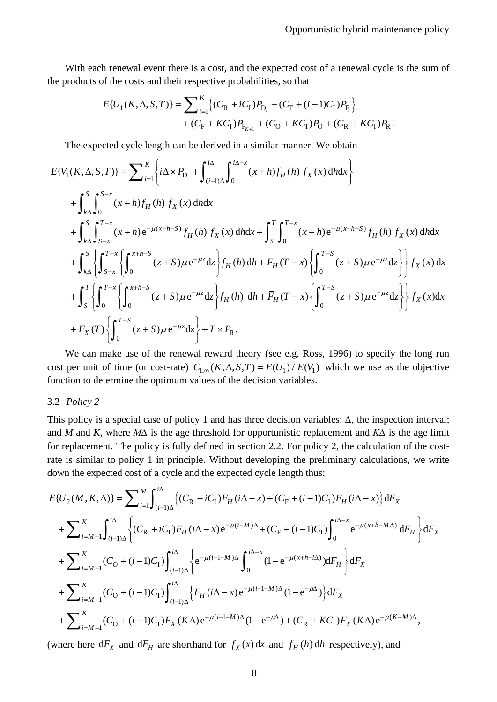With each renewal event there is a cost, and the expected cost of a renewal cycle is the sum of the products of the costs and their respective probabilities, so that

$$
E\{U_1(K,\Delta,S,T)\} = \sum_{i=1}^K \left\{ (C_R + iC_I)P_{D_i} + (C_F + (i-1)C_I)P_{F_i} \right\} + (C_F + KC_1)P_{F_{K+1}} + (C_O + KC_1)P_0 + (C_R + KC_1)P_R.
$$

The expected cycle length can be derived in a similar manner. We obtain

$$
E\{V_{1}(K,\Delta,S,T)\} = \sum_{i=1}^{K} \left\{ i\Delta \times P_{D_{i}} + \int_{(i-1)\Delta}^{i\Delta} \int_{0}^{i\Delta - x} (x+h)f_{H}(h) f_{X}(x) dh dx \right\} + \int_{k\Delta}^{S} \int_{0}^{S-x} (x+h)f_{H}(h) f_{X}(x) dh dx + \int_{k\Delta}^{S} \int_{S-x}^{T-x} (x+h)e^{-\mu(x+h-S)} f_{H}(h) f_{X}(x) dh dx + \int_{S}^{T} \int_{0}^{T-x} (x+h)e^{-\mu(x+h-S)} f_{H}(h) f_{X}(x) dh dx + \int_{k\Delta}^{S} \left\{ \int_{S-x}^{T-x} \left\{ \int_{0}^{x+h-S} (z+S)\mu e^{-\mu z} dz \right\} f_{H}(h) dh + \overline{F}_{H}(T-x) \left\{ \int_{0}^{T-S} (z+S)\mu e^{-\mu z} dz \right\} \right\} f_{X}(x) dx + \int_{S}^{T} \left\{ \int_{0}^{T-x} \left\{ \int_{0}^{x+h-S} (z+S)\mu e^{-\mu z} dz \right\} f_{H}(h) dh + \overline{F}_{H}(T-x) \left\{ \int_{0}^{T-S} (z+S)\mu e^{-\mu z} dz \right\} \right\} f_{X}(x) dx + \overline{F}_{X}(T) \left\{ \int_{0}^{T-S} (z+S)\mu e^{-\mu z} dz \right\} + T \times P_{R}.
$$

We can make use of the renewal reward theory (see e.g. Ross, 1996) to specify the long run cost per unit of time (or cost-rate)  $C_{1,\infty}(K, \Delta, S, T) = E(U_1) / E(V_1)$  which we use as the objective function to determine the optimum values of the decision variables.

#### 3.2 *Policy 2*

This policy is a special case of policy 1 and has three decision variables: *∆,* the inspection interval; and *M* and *K,* where *M∆* is the age threshold for opportunistic replacement and *K∆* is the age limit for replacement. The policy is fully defined in section 2.2. For policy 2, the calculation of the costrate is similar to policy 1 in principle. Without developing the preliminary calculations, we write down the expected cost of a cycle and the expected cycle length thus:

$$
E\{U_{2}(M,K,\Delta)\} = \sum_{i=1}^{M} \int_{(i-1)\Delta}^{i\Delta} \{(C_{R}+iC_{1})\overline{F}_{H}(i\Delta-x)+(C_{F}+(i-1)C_{1})F_{H}(i\Delta-x)\} dF_{X}
$$
  
+
$$
\sum_{i=M+1}^{K} \int_{(i-1)\Delta}^{i\Delta} \left\{(C_{R}+iC_{1})\overline{F}_{H}(i\Delta-x)e^{-\mu(i-M)\Delta}+(C_{F}+(i-1)C_{1})\int_{0}^{i\Delta-x} e^{-\mu(x+h-M\Delta)} dF_{H}\right\} dF_{X}
$$
  
+
$$
\sum_{i=M+1}^{K} (C_{0}+(i-1)C_{1})\int_{(i-1)\Delta}^{i\Delta} \left\{e^{-\mu(i-1-M)\Delta}\int_{0}^{i\Delta-x} (1-e^{-\mu(x+h-i\Delta)})dF_{H}\right\} dF_{X}
$$
  
+
$$
\sum_{i=M+1}^{K} (C_{0}+(i-1)C_{1})\int_{(i-1)\Delta}^{i\Delta} \left\{\overline{F}_{H}(i\Delta-x)e^{-\mu(i-1-M)\Delta}(1-e^{-\mu\Delta})\right\} dF_{X}
$$
  
+
$$
\sum_{i=M+1}^{K} (C_{0}+(i-1)C_{1})\overline{F}_{X}(K\Delta)e^{-\mu(i-1-M)\Delta}(1-e^{-\mu\Delta})+(C_{R}+KC_{1})\overline{F}_{X}(K\Delta)e^{-\mu(K-M)\Delta},
$$

(where here  $dF_X$  and  $dF_H$  are shorthand for  $f_X(x) dx$  and  $f_H(h) dh$  respectively), and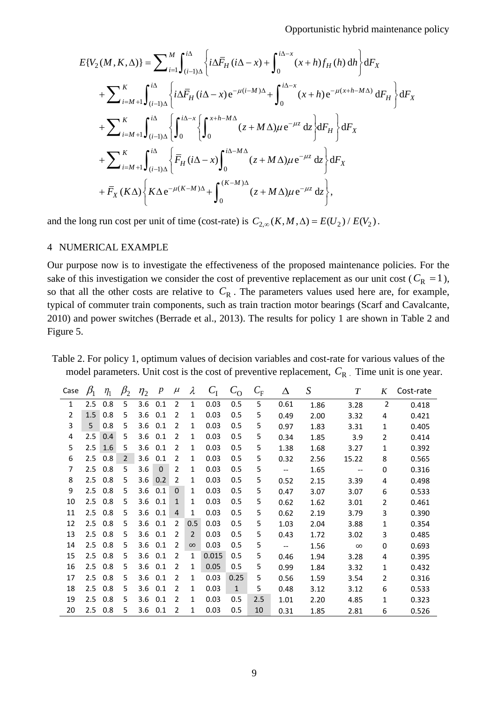$$
E\{V_{2}(M,K,\Delta)\} = \sum_{i=1}^{M} \int_{(i-1)\Delta}^{i\Delta} \left\{ i\Delta \overline{F}_{H}(i\Delta - x) + \int_{0}^{i\Delta - x} (x+h)f_{H}(h) dh \right\} dF_{X}
$$
  
+ 
$$
\sum_{i=M+1}^{K} \int_{(i-1)\Delta}^{i\Delta} \left\{ i\Delta \overline{F}_{H}(i\Delta - x) e^{-\mu(i-M)\Delta} + \int_{0}^{i\Delta - x} (x+h) e^{-\mu(x+h-M\Delta)} dF_{H} \right\} dF_{X}
$$
  
+ 
$$
\sum_{i=M+1}^{K} \int_{(i-1)\Delta}^{i\Delta} \left\{ \int_{0}^{i\Delta - x} \left\{ \int_{0}^{x+h-M\Delta} (z+M\Delta)\mu e^{-\mu z} dz \right\} dF_{H} \right\} dF_{X}
$$
  
+ 
$$
\sum_{i=M+1}^{K} \int_{(i-1)\Delta}^{i\Delta} \left\{ \overline{F}_{H}(i\Delta - x) \int_{0}^{i\Delta - M\Delta} (z+M\Delta)\mu e^{-\mu z} dz \right\} dF_{X}
$$
  
+ 
$$
\overline{F}_{X}(K\Delta) \left\{ K\Delta e^{-\mu(K-M)\Delta} + \int_{0}^{(K-M)\Delta} (z+M\Delta)\mu e^{-\mu z} dz \right\},
$$

and the long run cost per unit of time (cost-rate) is  $C_{2,\infty}(K, M, \Delta) = E(U_2) / E(V_2)$ .

#### 4 NUMERICAL EXAMPLE

Our purpose now is to investigate the effectiveness of the proposed maintenance policies. For the sake of this investigation we consider the cost of preventive replacement as our unit cost ( $C_R = 1$ ), so that all the other costs are relative to  $C_R$ . The parameters values used here are, for example, typical of commuter train components, such as train traction motor bearings (Scarf and Cavalcante, 2010) and power switches (Berrade et al., 2013). The results for policy 1 are shown in Table 2 and Figure 5.

Table 2. For policy 1, optimum values of decision variables and cost-rate for various values of the model parameters. Unit cost is the cost of preventive replacement,  $C_R$ . Time unit is one year.

| Case | $\beta_1$ | $\eta_1$ | $\beta_2$      | $\eta_2$ | $\boldsymbol{p}$ | $\mu$        | λ              | $C_{I}$ | $c_{\rm o}$  | $C_{\rm F}$ | Δ                                                   | $\boldsymbol{S}$ | $\boldsymbol{T}$         | K              | Cost-rate |
|------|-----------|----------|----------------|----------|------------------|--------------|----------------|---------|--------------|-------------|-----------------------------------------------------|------------------|--------------------------|----------------|-----------|
| 1    | 2.5       | 0.8      | 5              | 3.6      | 0.1              | 2            | $\mathbf 1$    | 0.03    | 0.5          | 5           | 0.61                                                | 1.86             | 3.28                     | $\overline{2}$ | 0.418     |
| 2    | 1.5       | 0.8      | 5              | 3.6      | 0.1              | 2            | 1              | 0.03    | 0.5          | 5           | 0.49                                                | 2.00             | 3.32                     | 4              | 0.421     |
| 3    | 5         | 0.8      | 5              | 3.6      | 0.1              | 2            | 1              | 0.03    | 0.5          | 5           | 0.97                                                | 1.83             | 3.31                     | 1              | 0.405     |
| 4    | 2.5       | 0.4      | 5              | 3.6      | 0.1              | 2            | 1              | 0.03    | 0.5          | 5           | 0.34                                                | 1.85             | 3.9                      | 2              | 0.414     |
| 5    | 2.5       | 1.6      | 5              | 3.6      | 0.1              | 2            | 1              | 0.03    | 0.5          | 5           | 1.38                                                | 1.68             | 3.27                     | 1              | 0.392     |
| 6    | 2.5       | 0.8      | $\overline{2}$ | 3.6      | 0.1              | 2            | 1              | 0.03    | 0.5          | 5           | 0.32                                                | 2.56             | 15.22                    | 8              | 0.565     |
| 7    | 2.5       | 0.8      | 5              | 3.6      | $\Omega$         | 2            | 1              | 0.03    | 0.5          | 5           | $-\!$                                               | 1.65             | $\hspace{0.05cm} \ldots$ | 0              | 0.316     |
| 8    | 2.5       | 0.8      | 5              | 3.6      | 0.2              | 2            | 1              | 0.03    | 0.5          | 5           | 0.52                                                | 2.15             | 3.39                     | 4              | 0.498     |
| 9    | $2.5\,$   | 0.8      | 5              | 3.6      | 0.1              | $\Omega$     | 1              | 0.03    | 0.5          | 5           | 0.47                                                | 3.07             | 3.07                     | 6              | 0.533     |
| 10   | 2.5       | 0.8      | 5              | 3.6      | 0.1              | $\mathbf{1}$ | 1              | 0.03    | 0.5          | 5           | 0.62                                                | 1.62             | 3.01                     | 2              | 0.461     |
| 11   | 2.5       | 0.8      | 5.             | 3.6      | 0.1              | 4            | 1              | 0.03    | 0.5          | 5           | 0.62                                                | 2.19             | 3.79                     | 3              | 0.390     |
| 12   | 2.5       | 0.8      | 5              | 3.6      | 0.1              | 2            | 0.5            | 0.03    | 0.5          | 5           | 1.03                                                | 2.04             | 3.88                     | 1              | 0.354     |
| 13   | 2.5       | 0.8      | 5              | 3.6      | 0.1              | 2            | $\overline{2}$ | 0.03    | 0.5          | 5           | 0.43                                                | 1.72             | 3.02                     | 3              | 0.485     |
| 14   | 2.5       | 0.8      | 5              | 3.6      | 0.1              | 2            | $\infty$       | 0.03    | 0.5          | 5           | $\hspace{0.05cm} -\hspace{0.05cm} -\hspace{0.05cm}$ | 1.56             | $\infty$                 | $\Omega$       | 0.693     |
| 15   | 2.5       | 0.8      | 5              | 3.6      | 0.1              | 2            | 1              | 0.015   | 0.5          | 5           | 0.46                                                | 1.94             | 3.28                     | 4              | 0.395     |
| 16   | 2.5       | 0.8      | 5              | 3.6      | 0.1              | 2            | 1              | 0.05    | 0.5          | 5           | 0.99                                                | 1.84             | 3.32                     | 1              | 0.432     |
| 17   | 2.5       | 0.8      | 5              | 3.6      | 0.1              | 2            | 1              | 0.03    | 0.25         | 5           | 0.56                                                | 1.59             | 3.54                     | 2              | 0.316     |
| 18   | 2.5       | 0.8      | 5              | 3.6      | 0.1              | 2            | 1              | 0.03    | $\mathbf{1}$ | 5           | 0.48                                                | 3.12             | 3.12                     | 6              | 0.533     |
| 19   | 2.5       | 0.8      | 5              | 3.6      | 0.1              | 2            | 1              | 0.03    | 0.5          | 2.5         | 1.01                                                | 2.20             | 4.85                     | 1              | 0.323     |
| 20   | 2.5       | 0.8      | 5              | 3.6      | 0.1              | 2            | 1              | 0.03    | 0.5          | 10          | 0.31                                                | 1.85             | 2.81                     | 6              | 0.526     |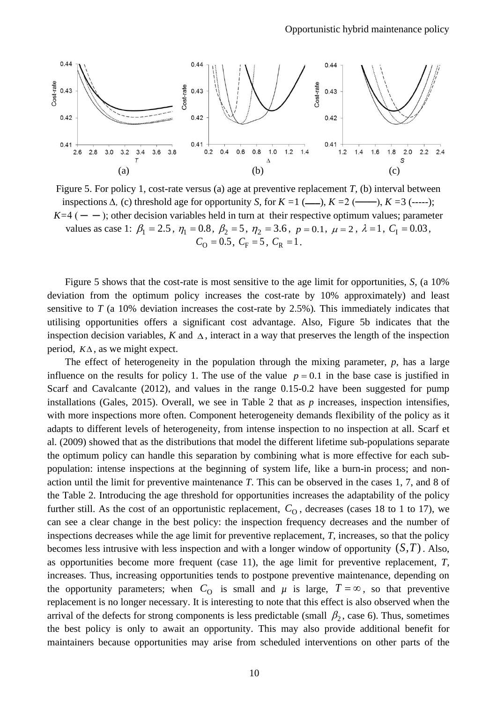

Figure 5. For policy 1, cost-rate versus (a) age at preventive replacement *T,* (b) interval between inspections  $\Delta$ , (c) threshold age for opportunity *S*, for  $K = 1$  (——),  $K = 2$  (——),  $K = 3$  (-----);  $K=4$  ( $-$ ); other decision variables held in turn at their respective optimum values; parameter values as case 1:  $\beta_1 = 2.5$ ,  $\eta_1 = 0.8$ ,  $\beta_2 = 5$ ,  $\eta_2 = 3.6$ ,  $p = 0.1$ ,  $\mu = 2$ ,  $\lambda = 1$ ,  $C_1 = 0.03$ ,  $C_{\Omega} = 0.5$ ,  $C_{\text{F}} = 5$ ,  $C_{\text{R}} = 1$ .

Figure 5 shows that the cost-rate is most sensitive to the age limit for opportunities, *S,* (a 10% deviation from the optimum policy increases the cost-rate by 10% approximately) and least sensitive to *T* (a 10% deviation increases the cost-rate by 2.5%)*.* This immediately indicates that utilising opportunities offers a significant cost advantage. Also, Figure 5b indicates that the inspection decision variables,  $K$  and  $\Delta$ , interact in a way that preserves the length of the inspection period,  $K\Delta$ , as we might expect.

The effect of heterogeneity in the population through the mixing parameter, *p*, has a large influence on the results for policy 1. The use of the value  $p = 0.1$  in the base case is justified in Scarf and Cavalcante (2012), and values in the range 0.15-0.2 have been suggested for pump installations (Gales, 2015). Overall, we see in Table 2 that as *p* increases, inspection intensifies, with more inspections more often. Component heterogeneity demands flexibility of the policy as it adapts to different levels of heterogeneity, from intense inspection to no inspection at all. Scarf et al. (2009) showed that as the distributions that model the different lifetime sub-populations separate the optimum policy can handle this separation by combining what is more effective for each subpopulation: intense inspections at the beginning of system life, like a burn-in process; and nonaction until the limit for preventive maintenance *T*. This can be observed in the cases 1, 7, and 8 of the Table 2. Introducing the age threshold for opportunities increases the adaptability of the policy further still. As the cost of an opportunistic replacement,  $C_{\Omega}$ , decreases (cases 18 to 1 to 17), we can see a clear change in the best policy: the inspection frequency decreases and the number of inspections decreases while the age limit for preventive replacement, *T*, increases, so that the policy becomes less intrusive with less inspection and with a longer window of opportunity  $(S, T)$ . Also, as opportunities become more frequent (case 11), the age limit for preventive replacement, *T*, increases. Thus, increasing opportunities tends to postpone preventive maintenance, depending on the opportunity parameters; when  $C_{\Omega}$  is small and  $\mu$  is large,  $T = \infty$ , so that preventive replacement is no longer necessary. It is interesting to note that this effect is also observed when the arrival of the defects for strong components is less predictable (small  $\beta_2$ , case 6). Thus, sometimes the best policy is only to await an opportunity. This may also provide additional benefit for maintainers because opportunities may arise from scheduled interventions on other parts of the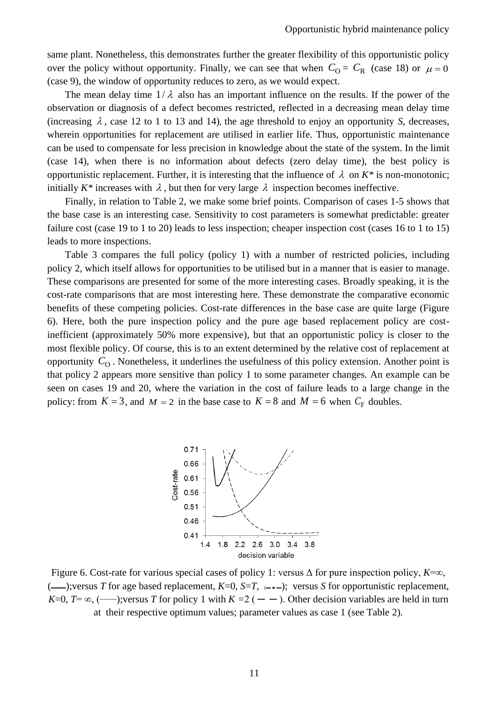same plant. Nonetheless, this demonstrates further the greater flexibility of this opportunistic policy over the policy without opportunity. Finally, we can see that when  $C_{\text{O}} = C_{\text{R}}$  (case 18) or  $\mu = 0$ (case 9), the window of opportunity reduces to zero, as we would expect.

The mean delay time  $1/\lambda$  also has an important influence on the results. If the power of the observation or diagnosis of a defect becomes restricted, reflected in a decreasing mean delay time (increasing  $\lambda$ , case 12 to 1 to 13 and 14), the age threshold to enjoy an opportunity *S*, decreases, wherein opportunities for replacement are utilised in earlier life. Thus, opportunistic maintenance can be used to compensate for less precision in knowledge about the state of the system. In the limit (case 14), when there is no information about defects (zero delay time), the best policy is opportunistic replacement. Further, it is interesting that the influence of  $\lambda$  on  $K^*$  is non-monotonic; initially  $K^*$  increases with  $\lambda$ , but then for very large  $\lambda$  inspection becomes ineffective.

Finally, in relation to Table 2, we make some brief points. Comparison of cases 1-5 shows that the base case is an interesting case. Sensitivity to cost parameters is somewhat predictable: greater failure cost (case 19 to 1 to 20) leads to less inspection; cheaper inspection cost (cases 16 to 1 to 15) leads to more inspections.

Table 3 compares the full policy (policy 1) with a number of restricted policies, including policy 2, which itself allows for opportunities to be utilised but in a manner that is easier to manage. These comparisons are presented for some of the more interesting cases. Broadly speaking, it is the cost-rate comparisons that are most interesting here. These demonstrate the comparative economic benefits of these competing policies. Cost-rate differences in the base case are quite large (Figure 6). Here, both the pure inspection policy and the pure age based replacement policy are costinefficient (approximately 50% more expensive), but that an opportunistic policy is closer to the most flexible policy. Of course, this is to an extent determined by the relative cost of replacement at opportunity  $C_{\Omega}$ . Nonetheless, it underlines the usefulness of this policy extension. Another point is that policy 2 appears more sensitive than policy 1 to some parameter changes. An example can be seen on cases 19 and 20, where the variation in the cost of failure leads to a large change in the policy: from  $K = 3$ , and  $M = 2$  in the base case to  $K = 8$  and  $M = 6$  when  $C_F$  doubles.



Figure 6. Cost-rate for various special cases of policy 1: versus Δ for pure inspection policy, *K*=∞, (←←––);versus *T* for age based replacement, *K*=0, *S*=*T*, ←––); versus *S* for opportunistic replacement, *K*=0, *T*=  $\infty$ , (——); versus *T* for policy 1 with *K* = 2 ( — – ). Other decision variables are held in turn at their respective optimum values; parameter values as case 1 (see Table 2)*.*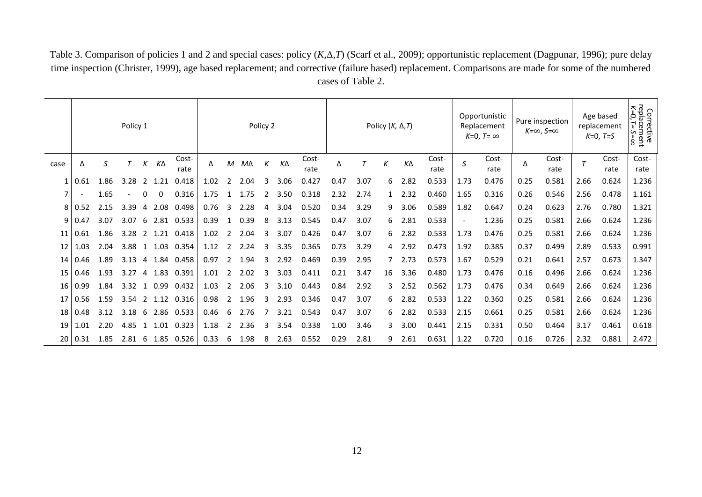Table 3. Comparison of policies 1 and 2 and special cases: policy (*K,*Δ*,T*) (Scarf et al., 2009); opportunistic replacement (Dagpunar, 1996); pure delay time inspection (Christer, 1999), age based replacement; and corrective (failure based) replacement. Comparisons are made for some of the numbered cases of Table 2.

|      | Policy 1    |      |      |    |      | Policy 2      |      |   |      |   |           | Policy $(K, \Delta, T)$ |      |      |    |      | Opportunistic<br>Replacement<br>$K=0$ . T= $\infty$ |      | Pure inspection<br>$K=\infty$ , $S=\infty$ |      | Age based<br>replacement<br>$K=0$ , T=S |        | Corrective<br>replacement<br>$K=0, T= S=\infty$ |               |
|------|-------------|------|------|----|------|---------------|------|---|------|---|-----------|-------------------------|------|------|----|------|-----------------------------------------------------|------|--------------------------------------------|------|-----------------------------------------|--------|-------------------------------------------------|---------------|
| case | Δ           | S    |      | К  | ΚΔ   | Cost-<br>rate | Δ    | М | MΔ   | К | $K\Delta$ | Cost-<br>rate           | Δ    |      | К  | ΚΔ   | Cost-<br>rate                                       | S    | Cost-<br>rate                              | Δ    | Cost-<br>rate                           | $\tau$ | Cost-<br>rate                                   | Cost-<br>rate |
| 1    | 0.61        | 1.86 | 3.28 | 2  | 1.21 | 0.418         | 1.02 |   | 2.04 | 3 | 3.06      | 0.427                   | 0.47 | 3.07 | 6  | 2.82 | 0.533                                               | 1.73 | 0.476                                      | 0.25 | 0.581                                   | 2.66   | 0.624                                           | 1.236         |
| 7    |             | 1.65 |      | 0  | 0    | 0.316         | 1.75 |   | 1.75 | 2 | 3.50      | 0.318                   | 2.32 | 2.74 |    | 2.32 | 0.460                                               | 1.65 | 0.316                                      | 0.26 | 0.546                                   | 2.56   | 0.478                                           | 1.161         |
| 8    | 0.52        | 2.15 | 3.39 | 4  | 2.08 | 0.498         | 0.76 | 3 | 2.28 | 4 | 3.04      | 0.520                   | 0.34 | 3.29 | 9  | 3.06 | 0.589                                               | 1.82 | 0.647                                      | 0.24 | 0.623                                   | 2.76   | 0.780                                           | 1.321         |
| 9    | $\mid$ 0.47 | 3.07 | 3.07 | 6  | 2.81 | 0.533         | 0.39 |   | 0.39 | 8 | 3.13      | 0.545                   | 0.47 | 3.07 | 6  | 2.81 | 0.533                                               |      | 1.236                                      | 0.25 | 0.581                                   | 2.66   | 0.624                                           | 1.236         |
| 11   | 0.61        | 1.86 | 3.28 | 2  | 1.21 | 0.418         | 1.02 | 2 | 2.04 | 3 | 3.07      | 0.426                   | 0.47 | 3.07 | 6  | 2.82 | 0.533                                               | 1.73 | 0.476                                      | 0.25 | 0.581                                   | 2.66   | 0.624                                           | 1.236         |
| 12   | 1.03        | 2.04 | 3.88 |    | 1.03 | 0.354         | 1.12 |   | 2.24 |   | 3.35      | 0.365                   | 0.73 | 3.29 | 4  | 2.92 | 0.473                                               | 1.92 | 0.385                                      | 0.37 | 0.499                                   | 2.89   | 0.533                                           | 0.991         |
| 14   | 0.46        | 1.89 | 3.13 | 4  | 1.84 | 0.458         | 0.97 |   | 1.94 | 3 | 2.92      | 0.469                   | 0.39 | 2.95 |    | 2.73 | 0.573                                               | 1.67 | 0.529                                      | 0.21 | 0.641                                   | 2.57   | 0.673                                           | 1.347         |
| 15   | 0.46        | 1.93 | 3.27 | 4  | 1.83 | 0.391         | 1.01 | 2 | 2.02 | 3 | 3.03      | 0.411                   | 0.21 | 3.47 | 16 | 3.36 | 0.480                                               | 1.73 | 0.476                                      | 0.16 | 0.496                                   | 2.66   | 0.624                                           | 1.236         |
| 16   | 0.99        | 1.84 | 3.32 | -1 | 0.99 | 0.432         | 1.03 | 2 | 2.06 | 3 | 3.10      | 0.443                   | 0.84 | 2.92 |    | 2.52 | 0.562                                               | 1.73 | 0.476                                      | 0.34 | 0.649                                   | 2.66   | 0.624                                           | 1.236         |
| 17   | 0.56        | 1.59 | 3.54 | 2  | 1.12 | 0.316         | 0.98 | 2 | 1.96 | 3 | 2.93      | 0.346                   | 0.47 | 3.07 | 6  | 2.82 | 0.533                                               | 1.22 | 0.360                                      | 0.25 | 0.581                                   | 2.66   | 0.624                                           | 1.236         |
| 18   | 0.48        | 3.12 | 3.18 | 6  | 2.86 | 0.533         | 0.46 | 6 | 2.76 |   | 3.21      | 0.543                   | 0.47 | 3.07 | 6  | 2.82 | 0.533                                               | 2.15 | 0.661                                      | 0.25 | 0.581                                   | 2.66   | 0.624                                           | 1.236         |
| 19   | 1.01        | 2.20 | 4.85 | 1  | 1.01 | 0.323         | 1.18 |   | 2.36 | 3 | 3.54      | 0.338                   | 1.00 | 3.46 | 3  | 3.00 | 0.441                                               | 2.15 | 0.331                                      | 0.50 | 0.464                                   | 3.17   | 0.461                                           | 0.618         |
| 20   | 0.31        | 1.85 | 2.81 | 6  |      | 1.85 0.526    | 0.33 | 6 | 1.98 | 8 | 2.63      | 0.552                   | 0.29 | 2.81 | 9  | 2.61 | 0.631                                               | 1.22 | 0.720                                      | 0.16 | 0.726                                   | 2.32   | 0.881                                           | 2.472         |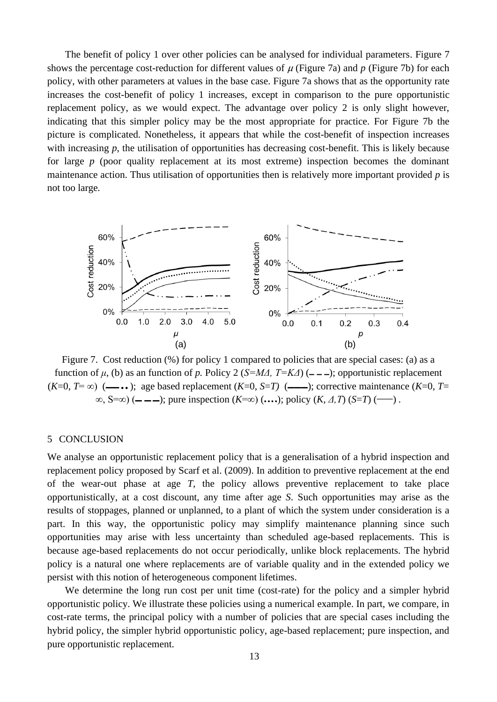The benefit of policy 1 over other policies can be analysed for individual parameters. Figure 7 shows the percentage cost-reduction for different values of  $\mu$  (Figure 7a) and  $p$  (Figure 7b) for each policy, with other parameters at values in the base case. Figure 7a shows that as the opportunity rate increases the cost-benefit of policy 1 increases, except in comparison to the pure opportunistic replacement policy, as we would expect. The advantage over policy 2 is only slight however, indicating that this simpler policy may be the most appropriate for practice. For Figure 7b the picture is complicated. Nonetheless, it appears that while the cost-benefit of inspection increases with increasing *p*, the utilisation of opportunities has decreasing cost-benefit. This is likely because for large *p* (poor quality replacement at its most extreme) inspection becomes the dominant maintenance action. Thus utilisation of opportunities then is relatively more important provided *p* is not too large*.* 



Figure 7. Cost reduction (%) for policy 1 compared to policies that are special cases: (a) as a function of *μ*, (b) as an function of *p*. Policy 2 (*S=MΔ, T=KΔ*) ( $\text{---}$ ); opportunistic replacement  $(K=0, T=\infty)$  (— $\bullet\bullet\bullet$ ); age based replacement  $(K=0, S=T)$  (— $\bullet\bullet\bullet$ ); corrective maintenance  $(K=0, T=0)$  $\infty$ , S= $\infty$ ) (— — —); pure inspection (*K*= $\infty$ ) (...); policy (*K*, *Δ*, *T*) (*S*=*T*) (——).

#### 5 CONCLUSION

We analyse an opportunistic replacement policy that is a generalisation of a hybrid inspection and replacement policy proposed by Scarf et al. (2009). In addition to preventive replacement at the end of the wear-out phase at age *T,* the policy allows preventive replacement to take place opportunistically, at a cost discount, any time after age *S*. Such opportunities may arise as the results of stoppages, planned or unplanned, to a plant of which the system under consideration is a part. In this way, the opportunistic policy may simplify maintenance planning since such opportunities may arise with less uncertainty than scheduled age-based replacements. This is because age-based replacements do not occur periodically, unlike block replacements. The hybrid policy is a natural one where replacements are of variable quality and in the extended policy we persist with this notion of heterogeneous component lifetimes.

We determine the long run cost per unit time (cost-rate) for the policy and a simpler hybrid opportunistic policy. We illustrate these policies using a numerical example. In part, we compare, in cost-rate terms, the principal policy with a number of policies that are special cases including the hybrid policy, the simpler hybrid opportunistic policy, age-based replacement; pure inspection, and pure opportunistic replacement.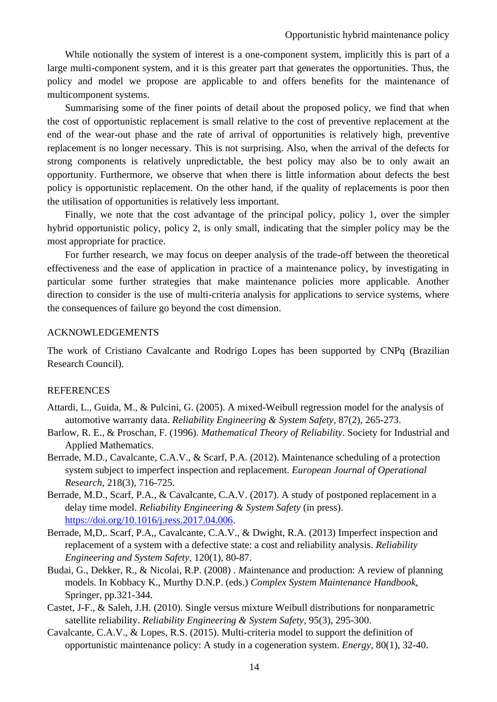While notionally the system of interest is a one-component system, implicitly this is part of a large multi-component system, and it is this greater part that generates the opportunities. Thus, the policy and model we propose are applicable to and offers benefits for the maintenance of multicomponent systems.

Summarising some of the finer points of detail about the proposed policy, we find that when the cost of opportunistic replacement is small relative to the cost of preventive replacement at the end of the wear-out phase and the rate of arrival of opportunities is relatively high, preventive replacement is no longer necessary. This is not surprising. Also, when the arrival of the defects for strong components is relatively unpredictable, the best policy may also be to only await an opportunity. Furthermore, we observe that when there is little information about defects the best policy is opportunistic replacement. On the other hand, if the quality of replacements is poor then the utilisation of opportunities is relatively less important.

Finally, we note that the cost advantage of the principal policy, policy 1, over the simpler hybrid opportunistic policy, policy 2, is only small, indicating that the simpler policy may be the most appropriate for practice.

For further research, we may focus on deeper analysis of the trade-off between the theoretical effectiveness and the ease of application in practice of a maintenance policy, by investigating in particular some further strategies that make maintenance policies more applicable. Another direction to consider is the use of multi-criteria analysis for applications to service systems, where the consequences of failure go beyond the cost dimension.

## ACKNOWLEDGEMENTS

The work of Cristiano Cavalcante and Rodrigo Lopes has been supported by CNPq (Brazilian Research Council).

## REFERENCES

- Attardi, L., Guida, M., & Pulcini, G. (2005). A mixed-Weibull regression model for the analysis of automotive warranty data*. Reliability Engineering & System Safety*, 87(2), 265-273.
- Barlow, R. E., & Proschan, F. (1996). *Mathematical Theory of Reliability*. Society for Industrial and Applied Mathematics.
- Berrade, M.D., Cavalcante, C.A.V., & Scarf, P.A. (2012). Maintenance scheduling of a protection system subject to imperfect inspection and replacement. *European Journal of Operational Research*, 218(3), 716-725.
- Berrade, M.D., Scarf, P.A., & Cavalcante, C.A.V. (2017). A study of postponed replacement in a delay time model. *Reliability Engineering & System Safety* (in press). [https://doi.org/10.1016/j.ress.2017.04.006.](https://doi.org/10.1016/j.ress.2017.04.006)
- Berrade, M,D,. Scarf, P.A,, Cavalcante, C.A.V., & Dwight, R.A. (2013) Imperfect inspection and replacement of a system with a defective state: a cost and reliability analysis. *Reliability Engineering and System Safety,* 120(1), 80-87.
- Budai, G., Dekker, R., & Nicolai, R.P. (2008) . *M*aintenance and production: A review of planning models*.* In Kobbacy K., Murthy D.N.P. (eds.) *Complex System Maintenance Handbook,*  Springer, pp.321-344.
- Castet, J-F., & Saleh, J.H. (2010). Single versus mixture Weibull distributions for nonparametric satellite reliability. *Reliability Engineering & System Safety*, 95(3), 295-300.
- Cavalcante, C.A.V., & Lopes, R.S. (2015). Multi-criteria model to support the definition of opportunistic maintenance policy: A study in a cogeneration system. *Energy*, 80(1), 32-40.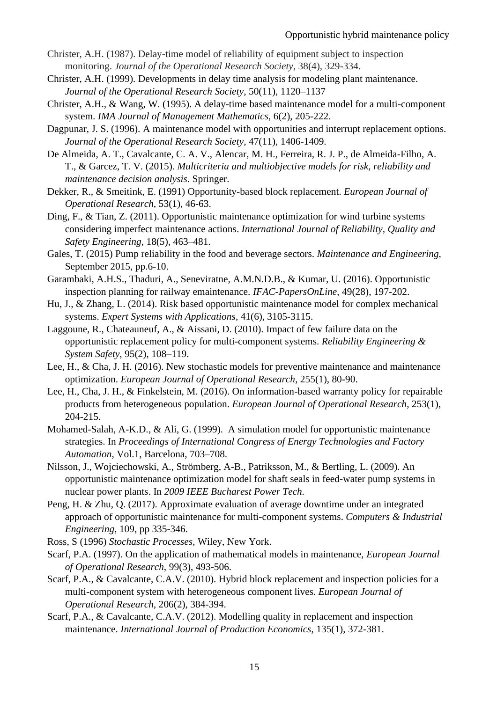- Christer, A.H. (1987). Delay-time model of reliability of equipment subject to inspection monitoring. *Journal of the Operational Research Society*, 38(4), 329-334.
- Christer, A.H. (1999). Developments in delay time analysis for modeling plant maintenance. *Journal of the Operational Research Society*, 50(11), 1120–1137
- Christer, A.H., & Wang, W. (1995). A delay-time based maintenance model for a multi-component system. *IMA Journal of Management Mathematics*, 6(2), 205-222.
- Dagpunar, J. S. (1996). A maintenance model with opportunities and interrupt replacement options. *Journal of the Operational Research Society*, 47(11), 1406-1409.
- De Almeida, A. T., Cavalcante, C. A. V., Alencar, M. H., Ferreira, R. J. P., de Almeida-Filho, A. T., & Garcez, T. V. (2015). *Multicriteria and multiobjective models for risk, reliability and maintenance decision analysis*. Springer.
- Dekker, R., & Smeitink, E. (1991) Opportunity-based block replacement. *European Journal of Operational Research*, 53(1), 46-63.
- Ding, F., & Tian, Z. (2011). Opportunistic maintenance optimization for wind turbine systems considering imperfect maintenance actions. *International Journal of Reliability, Quality and Safety Engineering*, 18(5), 463–481.
- Gales, T. (2015) Pump reliability in the food and beverage sectors. *Maintenance and Engineering,*  September 2015, pp.6-10.
- Garambaki, A.H.S., Thaduri, A., Seneviratne, A.M.N.D.B., & Kumar, U. (2016). Opportunistic inspection planning for railway emaintenance. *IFAC-PapersOnLine*, 49(28), 197-202.
- Hu, J., & Zhang, L. (2014). Risk based opportunistic maintenance model for complex mechanical systems. *Expert Systems with Applications*, 41(6), 3105-3115.
- Laggoune, R., Chateauneuf, A., & Aissani, D. (2010). Impact of few failure data on the opportunistic replacement policy for multi-component systems. *Reliability Engineering & System Safety*, 95(2), 108–119.
- Lee, H., & Cha, J. H. (2016). New stochastic models for preventive maintenance and maintenance optimization. *European Journal of Operational Research*, 255(1), 80-90.
- Lee, H., Cha, J. H., & Finkelstein, M. (2016). On information-based warranty policy for repairable products from heterogeneous population. *European Journal of Operational Research*, 253(1), 204-215.
- Mohamed-Salah, A-K.D., & Ali, G. (1999). A simulation model for opportunistic maintenance strategies. In *Proceedings of International Congress of Energy Technologies and Factory Automation*, Vol.1, Barcelona, 703–708.
- Nilsson, J., Wojciechowski, A., Strömberg, A-B., Patriksson, M., & Bertling, L. (2009). An opportunistic maintenance optimization model for shaft seals in feed-water pump systems in nuclear power plants. In *2009 IEEE Bucharest Power Tech.*
- Peng, H. & Zhu, Q. (2017). Approximate evaluation of average downtime under an integrated approach of opportunistic maintenance for multi-component systems. *Computers & Industrial Engineering*, 109, pp 335-346.
- Ross, S (1996) *Stochastic Processes,* Wiley, New York.
- Scarf, P.A. (1997). On the application of mathematical models in maintenance, *European Journal of Operational Research*, 99(3), 493-506.
- Scarf, P.A., & Cavalcante, C.A.V. (2010). Hybrid block replacement and inspection policies for a multi-component system with heterogeneous component lives. *European Journal of Operational Research,* 206(2), 384-394.
- Scarf, P.A., & Cavalcante, C.A.V. (2012). Modelling quality in replacement and inspection maintenance. *International Journal of Production Economics*, 135(1), 372-381.